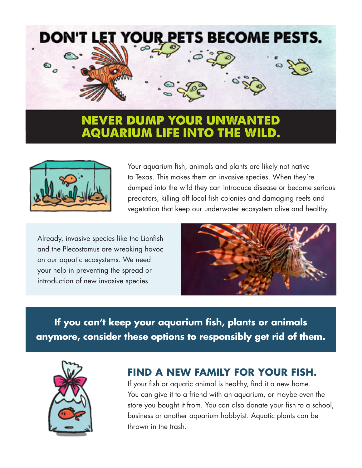



Your aquarium fish, animals and plants are likely not native to Texas. This makes them an invasive species. When they're dumped into the wild they can introduce disease or become serious predators, killing off local fish colonies and damaging reefs and vegetation that keep our underwater ecosystem alive and healthy.

Already, invasive species like the Lionfish and the Plecostomus are wreaking havoc on our aquatic ecosystems. We need your help in preventing the spread or introduction of new invasive species.



**If you can't keep your aquarium fish, plants or animals anymore, consider these options to responsibly get rid of them.**



## **FIND A NEW FAMILY FOR YOUR FISH.**

If your fish or aquatic animal is healthy, find it a new home. You can give it to a friend with an aquarium, or maybe even the store you bought it from. You can also donate your fish to a school, business or another aquarium hobbyist. Aquatic plants can be thrown in the trash.